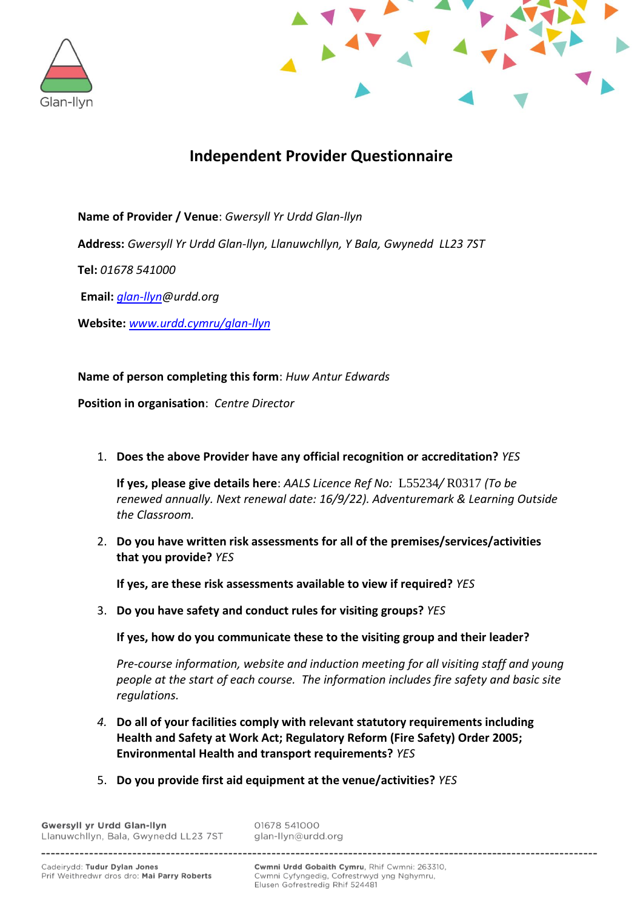



# **Independent Provider Questionnaire**

**Name of Provider / Venue**: *Gwersyll Yr Urdd Glan-llyn*

**Address:** *Gwersyll Yr Urdd Glan-llyn, Llanuwchllyn, Y Bala, Gwynedd LL23 7ST*

**Tel:** *01678 541000*

**Email:** *[glan-llyn@](mailto:glan-llyn)urdd.org*

**Website:** *[www.urdd.cymru/glan-llyn](http://www.urdd.cymru/glan-llyn)*

## **Name of person completing this form**: *Huw Antur Edwards*

**Position in organisation**: *Centre Director*

1. **Does the above Provider have any official recognition or accreditation?** *YES*

**If yes, please give details here**: *AALS Licence Ref No:* L55234*/* R0317 *(To be renewed annually. Next renewal date: 16/9/22). Adventuremark & Learning Outside the Classroom.*

2. **Do you have written risk assessments for all of the premises/services/activities that you provide?** *YES*

**If yes, are these risk assessments available to view if required?** *YES*

3. **Do you have safety and conduct rules for visiting groups?** *YES*

**If yes, how do you communicate these to the visiting group and their leader?**

*Pre-course information, website and induction meeting for all visiting staff and young people at the start of each course. The information includes fire safety and basic site regulations.*

- *4.* **Do all of your facilities comply with relevant statutory requirements including Health and Safety at Work Act; Regulatory Reform (Fire Safety) Order 2005; Environmental Health and transport requirements?** *YES*
- 5. **Do you provide first aid equipment at the venue/activities?** *YES*

**Gwersyll vr Urdd Glan-Ilvn** Llanuwchllyn, Bala, Gwynedd LL23 7ST 01678 541000 glan-llyn@urdd.org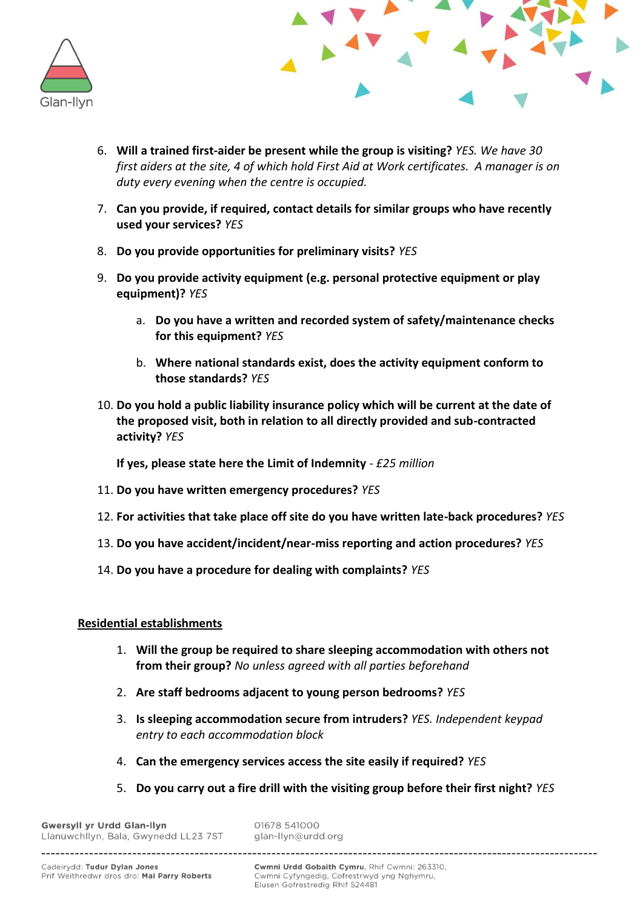



- 6. **Will a trained first-aider be present while the group is visiting?** *YES. We have 30 first aiders at the site, 4 of which hold First Aid at Work certificates. A manager is on duty every evening when the centre is occupied.*
- 7. **Can you provide, if required, contact details for similar groups who have recently used your services?** *YES*
- 8. **Do you provide opportunities for preliminary visits?** *YES*
- 9. **Do you provide activity equipment (e.g. personal protective equipment or play equipment)?** *YES*
	- a. **Do you have a written and recorded system of safety/maintenance checks for this equipment?** *YES*
	- b. **Where national standards exist, does the activity equipment conform to those standards?** *YES*
- 10. **Do you hold a public liability insurance policy which will be current at the date of the proposed visit, both in relation to all directly provided and sub-contracted activity?** *YES*

**If yes, please state here the Limit of Indemnity** - *£25 million*

- 11. **Do you have written emergency procedures?** *YES*
- 12. **For activities that take place off site do you have written late-back procedures?** *YES*
- 13. **Do you have accident/incident/near-miss reporting and action procedures?** *YES*
- 14. **Do you have a procedure for dealing with complaints?** *YES*

# **Residential establishments**

- 1. **Will the group be required to share sleeping accommodation with others not from their group?** *No unless agreed with all parties beforehand*
- 2. **Are staff bedrooms adjacent to young person bedrooms?** *YES*
- 3. **Is sleeping accommodation secure from intruders?** *YES. Independent keypad entry to each accommodation block*
- 4. **Can the emergency services access the site easily if required?** *YES*
- 5. **Do you carry out a fire drill with the visiting group before their first night?** *YES*

**Gwersyll vr Urdd Glan-Ilvn** Llanuwchllyn, Bala, Gwynedd LL23 7ST 01678 541000 glan-llyn@urdd.org